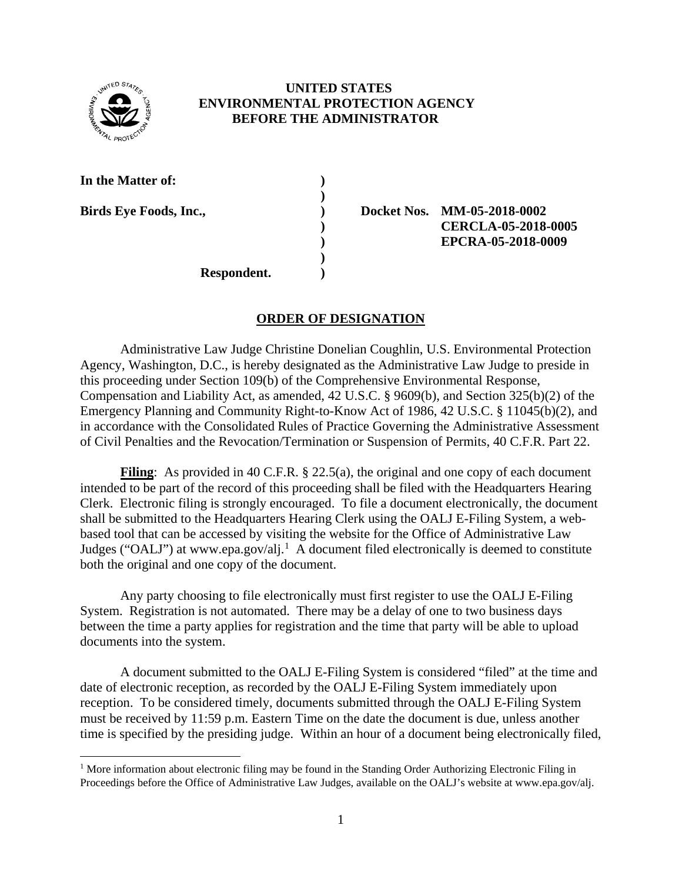

## **UNITED STATES ENVIRONMENTAL PROTECTION AGENCY BEFORE THE ADMINISTRATOR**

**)** 

**)**

**In the Matter of: )**

l

**Birds Eye Foods, Inc., ) Docket Nos. MM-05-2018-0002 ) CERCLA-05-2018-0005 ) EPCRA-05-2018-0009**

**Respondent. )**

## **ORDER OF DESIGNATION**

Administrative Law Judge Christine Donelian Coughlin, U.S. Environmental Protection Agency, Washington, D.C., is hereby designated as the Administrative Law Judge to preside in this proceeding under Section 109(b) of the Comprehensive Environmental Response, Compensation and Liability Act, as amended, 42 U.S.C. § 9609(b), and Section 325(b)(2) of the Emergency Planning and Community Right-to-Know Act of 1986, 42 U.S.C. § 11045(b)(2), and in accordance with the Consolidated Rules of Practice Governing the Administrative Assessment of Civil Penalties and the Revocation/Termination or Suspension of Permits, 40 C.F.R. Part 22.

**Filing**: As provided in 40 C.F.R. § 22.5(a), the original and one copy of each document intended to be part of the record of this proceeding shall be filed with the Headquarters Hearing Clerk. Electronic filing is strongly encouraged. To file a document electronically, the document shall be submitted to the Headquarters Hearing Clerk using the OALJ E-Filing System, a webbased tool that can be accessed by visiting the website for the Office of Administrative Law Judges ("OALJ") at www.epa.gov/alj.<sup>[1](#page-0-0)</sup> A document filed electronically is deemed to constitute both the original and one copy of the document.

Any party choosing to file electronically must first register to use the OALJ E-Filing System. Registration is not automated. There may be a delay of one to two business days between the time a party applies for registration and the time that party will be able to upload documents into the system.

A document submitted to the OALJ E-Filing System is considered "filed" at the time and date of electronic reception, as recorded by the OALJ E-Filing System immediately upon reception. To be considered timely, documents submitted through the OALJ E-Filing System must be received by 11:59 p.m. Eastern Time on the date the document is due, unless another time is specified by the presiding judge. Within an hour of a document being electronically filed,

<span id="page-0-0"></span><sup>&</sup>lt;sup>1</sup> More information about electronic filing may be found in the Standing Order Authorizing Electronic Filing in Proceedings before the Office of Administrative Law Judges, available on the OALJ's website at www.epa.gov/alj.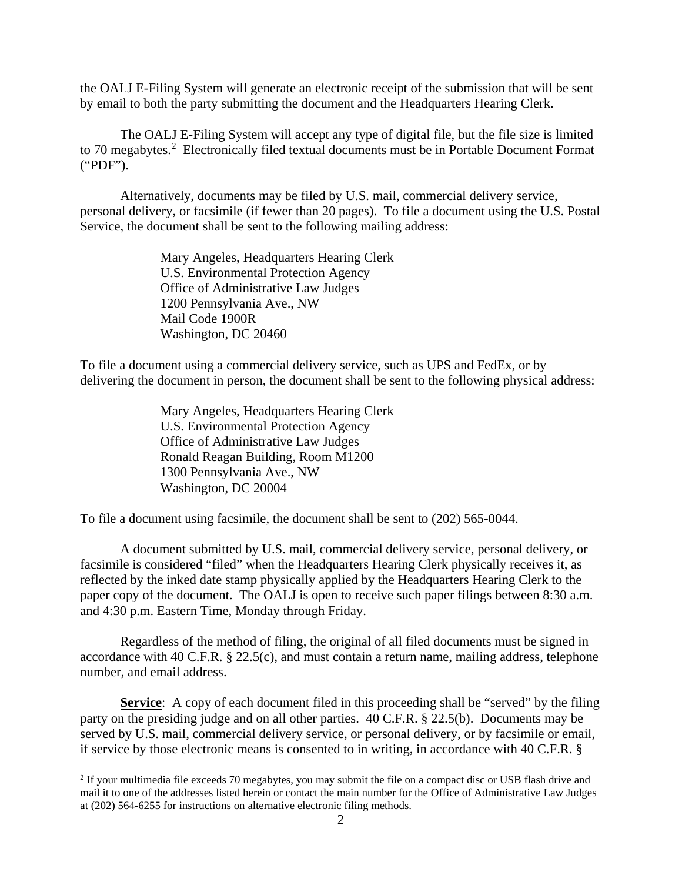the OALJ E-Filing System will generate an electronic receipt of the submission that will be sent by email to both the party submitting the document and the Headquarters Hearing Clerk.

The OALJ E-Filing System will accept any type of digital file, but the file size is limited to 70 megabytes.<sup>[2](#page-1-0)</sup> Electronically filed textual documents must be in Portable Document Format ("PDF").

Alternatively, documents may be filed by U.S. mail, commercial delivery service, personal delivery, or facsimile (if fewer than 20 pages). To file a document using the U.S. Postal Service, the document shall be sent to the following mailing address:

> Mary Angeles, Headquarters Hearing Clerk U.S. Environmental Protection Agency Office of Administrative Law Judges 1200 Pennsylvania Ave., NW Mail Code 1900R Washington, DC 20460

To file a document using a commercial delivery service, such as UPS and FedEx, or by delivering the document in person, the document shall be sent to the following physical address:

> Mary Angeles, Headquarters Hearing Clerk U.S. Environmental Protection Agency Office of Administrative Law Judges Ronald Reagan Building, Room M1200 1300 Pennsylvania Ave., NW Washington, DC 20004

 $\overline{\phantom{a}}$ 

To file a document using facsimile, the document shall be sent to (202) 565-0044.

A document submitted by U.S. mail, commercial delivery service, personal delivery, or facsimile is considered "filed" when the Headquarters Hearing Clerk physically receives it, as reflected by the inked date stamp physically applied by the Headquarters Hearing Clerk to the paper copy of the document. The OALJ is open to receive such paper filings between 8:30 a.m. and 4:30 p.m. Eastern Time, Monday through Friday.

Regardless of the method of filing, the original of all filed documents must be signed in accordance with 40 C.F.R. § 22.5(c), and must contain a return name, mailing address, telephone number, and email address.

**Service**: A copy of each document filed in this proceeding shall be "served" by the filing party on the presiding judge and on all other parties. 40 C.F.R. § 22.5(b). Documents may be served by U.S. mail, commercial delivery service, or personal delivery, or by facsimile or email, if service by those electronic means is consented to in writing, in accordance with 40 C.F.R. §

<span id="page-1-0"></span><sup>&</sup>lt;sup>2</sup> If your multimedia file exceeds 70 megabytes, you may submit the file on a compact disc or USB flash drive and mail it to one of the addresses listed herein or contact the main number for the Office of Administrative Law Judges at (202) 564-6255 for instructions on alternative electronic filing methods.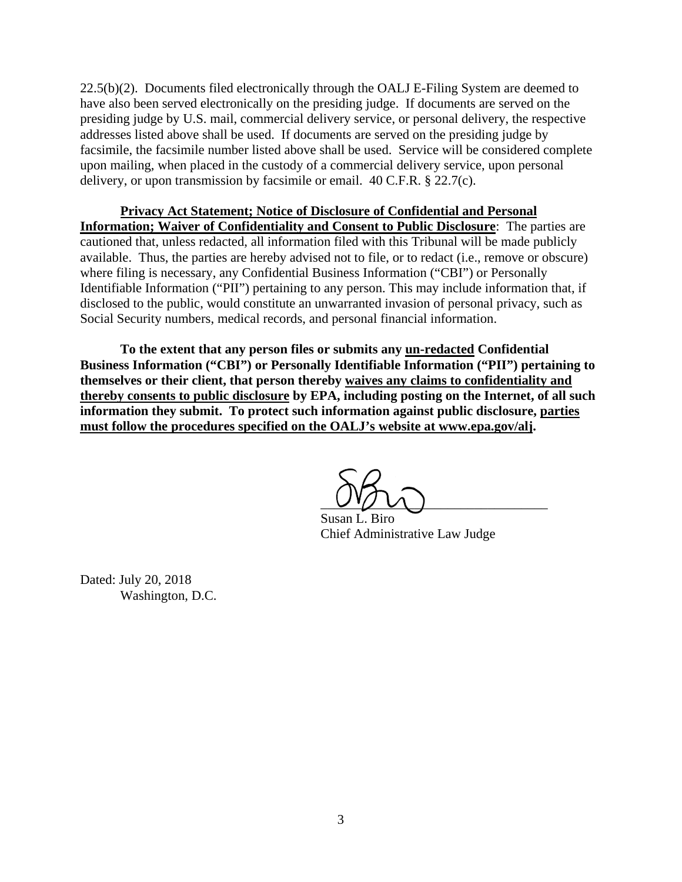22.5(b)(2). Documents filed electronically through the OALJ E-Filing System are deemed to have also been served electronically on the presiding judge. If documents are served on the presiding judge by U.S. mail, commercial delivery service, or personal delivery, the respective addresses listed above shall be used. If documents are served on the presiding judge by facsimile, the facsimile number listed above shall be used. Service will be considered complete upon mailing, when placed in the custody of a commercial delivery service, upon personal delivery, or upon transmission by facsimile or email. 40 C.F.R. § 22.7(c).

**Privacy Act Statement; Notice of Disclosure of Confidential and Personal Information; Waiver of Confidentiality and Consent to Public Disclosure**:The parties are cautioned that, unless redacted, all information filed with this Tribunal will be made publicly available. Thus, the parties are hereby advised not to file, or to redact (i.e., remove or obscure) where filing is necessary, any Confidential Business Information ("CBI") or Personally Identifiable Information ("PII") pertaining to any person. This may include information that, if disclosed to the public, would constitute an unwarranted invasion of personal privacy, such as Social Security numbers, medical records, and personal financial information.

**To the extent that any person files or submits any un-redacted Confidential Business Information ("CBI") or Personally Identifiable Information ("PII") pertaining to themselves or their client, that person thereby waives any claims to confidentiality and thereby consents to public disclosure by EPA, including posting on the Internet, of all such information they submit. To protect such information against public disclosure, parties must follow the procedures specified on the OALJ's website at www.epa.gov/alj.** 

 $U'U'$ 

 Susan L. Biro Chief Administrative Law Judge

Dated: July 20, 2018 Washington, D.C.